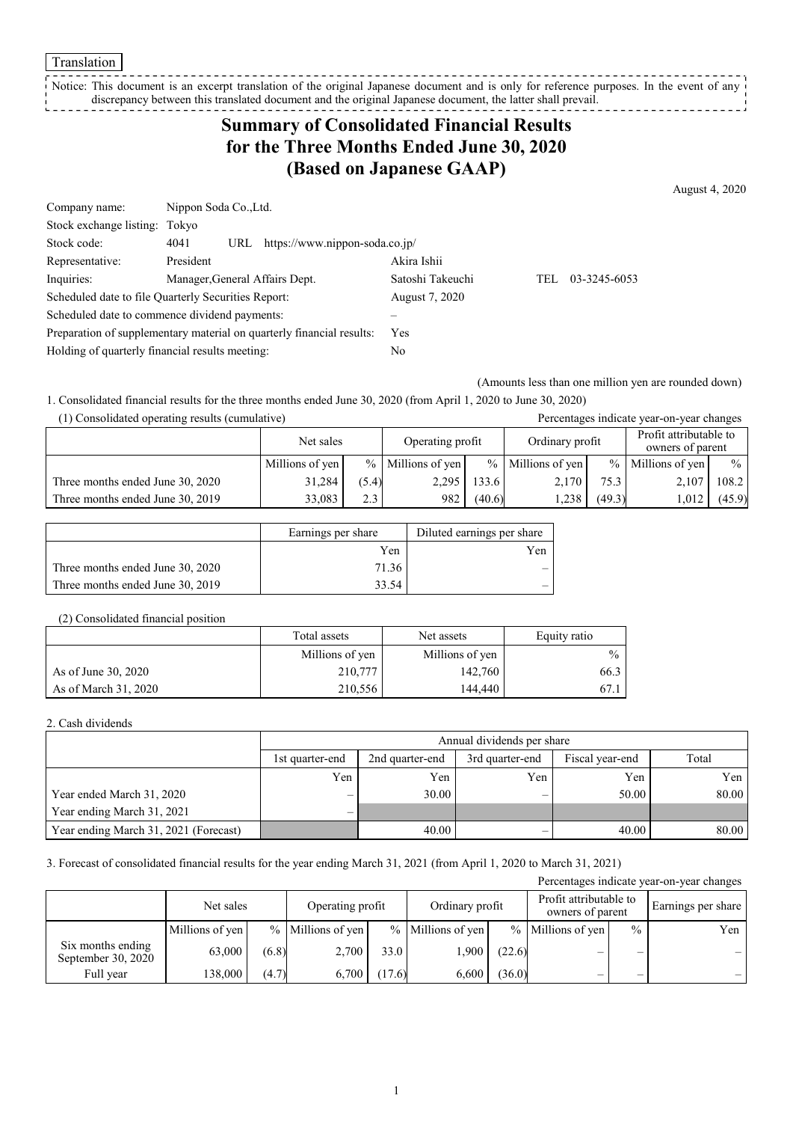Translation

Notice: This document is an excerpt translation of the original Japanese document and is only for reference purposes. In the event of any discrepancy between this translated document and the original Japanese document, the latter shall prevail. 

## **Summary of Consolidated Financial Results for the Three Months Ended June 30, 2020 (Based on Japanese GAAP)**

August 4, 2020

| Company name:                                                         | Nippon Soda Co., Ltd.          |            |                                    |                  |     |              |
|-----------------------------------------------------------------------|--------------------------------|------------|------------------------------------|------------------|-----|--------------|
| Stock exchange listing: Tokyo                                         |                                |            |                                    |                  |     |              |
| Stock code:                                                           | 4041                           |            | URL https://www.nippon-soda.co.jp/ |                  |     |              |
| Representative:                                                       | President                      |            |                                    | Akira Ishii      |     |              |
| Inquiries:                                                            | Manager, General Affairs Dept. |            |                                    | Satoshi Takeuchi | TEL | 03-3245-6053 |
| Scheduled date to file Quarterly Securities Report:                   |                                |            | August 7, 2020                     |                  |     |              |
| Scheduled date to commence dividend payments:                         |                                |            |                                    |                  |     |              |
| Preparation of supplementary material on quarterly financial results: |                                | <b>Yes</b> |                                    |                  |     |              |
| Holding of quarterly financial results meeting:                       |                                | No         |                                    |                  |     |              |

(Amounts less than one million yen are rounded down)

1. Consolidated financial results for the three months ended June 30, 2020 (from April 1, 2020 to June 30, 2020)

| (1) Consolidated operating results (cumulative) |                 |       |                     |                 |                     |        | Percentages indicate year-on-year changes  |               |
|-------------------------------------------------|-----------------|-------|---------------------|-----------------|---------------------|--------|--------------------------------------------|---------------|
|                                                 | Net sales       |       | Operating profit    | Ordinary profit |                     |        | Profit attributable to<br>owners of parent |               |
|                                                 | Millions of yen |       | $%$ Millions of yen |                 | $%$ Millions of yen |        | $%$ Millions of yen                        | $\frac{0}{0}$ |
| Three months ended June 30, 2020                | 31,284          | (5.4) | 2.295               | 133.6           | 2.170               | 75.3   | 2,107                                      | 108.2         |
| Three months ended June 30, 2019                | 33,083          | 2.3   | 982                 | (40.6)          | 1.238               | (49.3) | 1,012                                      | (45.9)        |

|                                  | Earnings per share | Diluted earnings per share |
|----------------------------------|--------------------|----------------------------|
|                                  | Yen                | Yen                        |
| Three months ended June 30, 2020 | 71.36              |                            |
| Three months ended June 30, 2019 | 33.54              |                            |

#### (2) Consolidated financial position

|                      | Total assets    | Net assets      | Equity ratio  |
|----------------------|-----------------|-----------------|---------------|
|                      | Millions of yen | Millions of yen | $\frac{0}{0}$ |
| As of June 30, 2020  | 210,777         | 142,760         | 66.3          |
| As of March 31, 2020 | 210.556         | 144,440         | 67.1          |

#### 2. Cash dividends

|                                       | Annual dividends per share |                 |                 |                 |       |  |  |  |
|---------------------------------------|----------------------------|-----------------|-----------------|-----------------|-------|--|--|--|
|                                       | 1st quarter-end            | 2nd quarter-end | 3rd quarter-end | Fiscal year-end | Total |  |  |  |
|                                       | Yen                        | Yen             | Yen             | Yen             | Yen   |  |  |  |
| Year ended March 31, 2020             | $\overline{\phantom{0}}$   | 30.00           | -               | 50.00           | 80.00 |  |  |  |
| Year ending March 31, 2021            | $\overline{\phantom{0}}$   |                 |                 |                 |       |  |  |  |
| Year ending March 31, 2021 (Forecast) |                            | 40.00           | –               | 40.00           | 80.00 |  |  |  |

#### 3. Forecast of consolidated financial results for the year ending March 31, 2021 (from April 1, 2020 to March 31, 2021)

| Percentages indicate year-on-year changes |                 |       |                     |        |                   |        |                                            |               |                    |
|-------------------------------------------|-----------------|-------|---------------------|--------|-------------------|--------|--------------------------------------------|---------------|--------------------|
|                                           | Net sales       |       | Operating profit    |        | Ordinary profit   |        | Profit attributable to<br>owners of parent |               | Earnings per share |
|                                           | Millions of yen |       | $%$ Millions of yen |        | % Millions of yen |        | $%$ Millions of yen                        | $\frac{0}{0}$ | Yen                |
| Six months ending<br>September 30, 2020   | 63,000          | (6.8) | 2,700               | 33.0   | 1,900             | (22.6) | –                                          | _             |                    |
| Full year                                 | 138,000         | (4.7) | 6,700               | (17.6) | 6,600             | (36.0) |                                            |               |                    |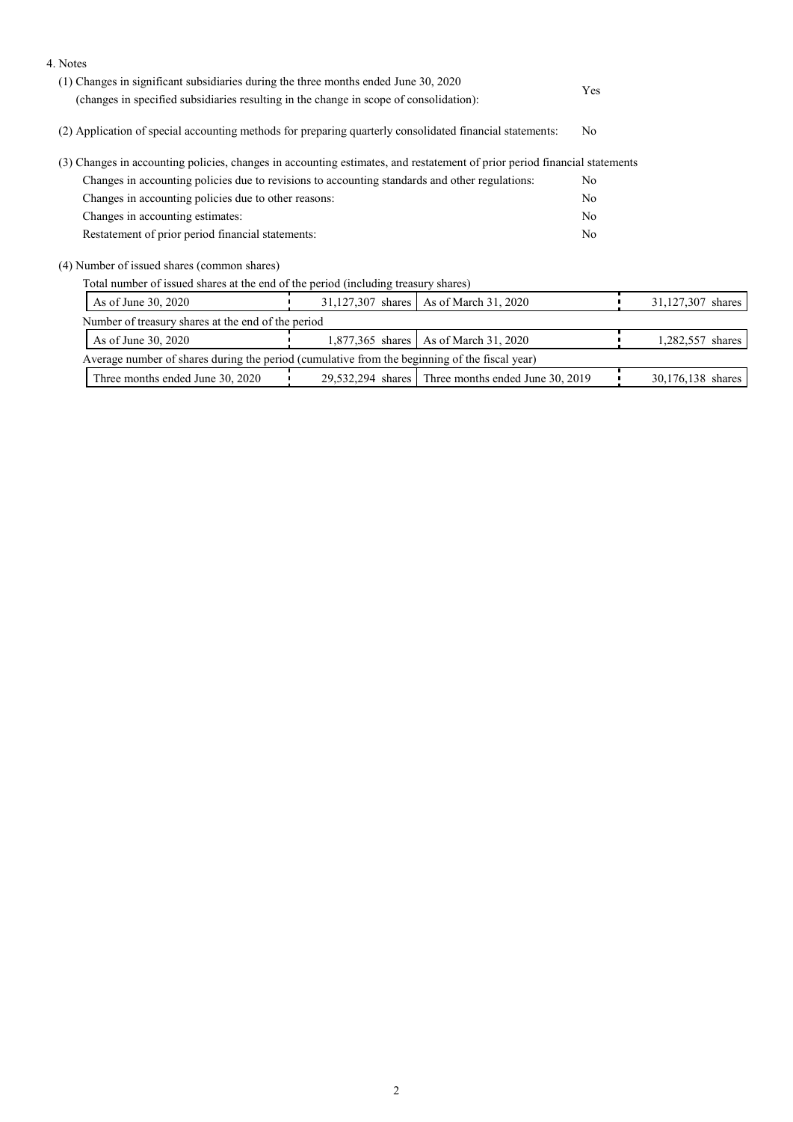| 4. Notes                                                                                                                  |                                                                                     |                                                    |    |                   |  |
|---------------------------------------------------------------------------------------------------------------------------|-------------------------------------------------------------------------------------|----------------------------------------------------|----|-------------------|--|
|                                                                                                                           | (1) Changes in significant subsidiaries during the three months ended June 30, 2020 |                                                    |    |                   |  |
| (changes in specified subsidiaries resulting in the change in scope of consolidation):                                    | Yes                                                                                 |                                                    |    |                   |  |
| (2) Application of special accounting methods for preparing quarterly consolidated financial statements:                  | No                                                                                  |                                                    |    |                   |  |
| (3) Changes in accounting policies, changes in accounting estimates, and restatement of prior period financial statements |                                                                                     |                                                    |    |                   |  |
| Changes in accounting policies due to revisions to accounting standards and other regulations:                            |                                                                                     |                                                    | No |                   |  |
| Changes in accounting policies due to other reasons:                                                                      | No                                                                                  |                                                    |    |                   |  |
| Changes in accounting estimates:                                                                                          | No                                                                                  |                                                    |    |                   |  |
| Restatement of prior period financial statements:                                                                         |                                                                                     |                                                    |    |                   |  |
| (4) Number of issued shares (common shares)                                                                               |                                                                                     |                                                    |    |                   |  |
| Total number of issued shares at the end of the period (including treasury shares)                                        |                                                                                     |                                                    |    |                   |  |
| As of June 30, 2020                                                                                                       | 31,127,307 shares                                                                   | As of March 31, 2020                               |    | 31,127,307 shares |  |
| Number of treasury shares at the end of the period                                                                        |                                                                                     |                                                    |    |                   |  |
| As of June 30, 2020                                                                                                       |                                                                                     | 1,877,365 shares   As of March 31, 2020            |    | 1,282,557 shares  |  |
| Average number of shares during the period (cumulative from the beginning of the fiscal year)                             |                                                                                     |                                                    |    |                   |  |
| Three months ended June 30, 2020                                                                                          |                                                                                     | 29,532,294 shares Three months ended June 30, 2019 |    | 30,176,138 shares |  |
|                                                                                                                           |                                                                                     |                                                    |    |                   |  |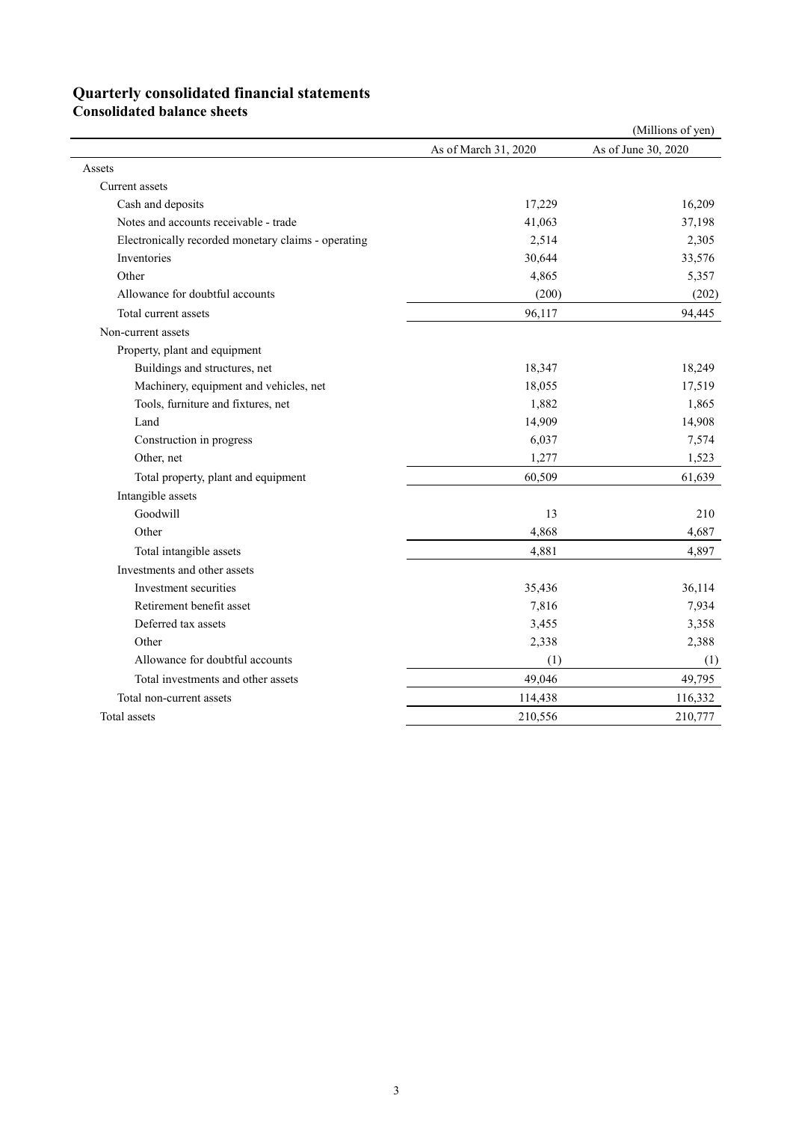# **Quarterly consolidated financial statements**

**Consolidated balance sheets**

|                                                     |                      | (Millions of yen)   |
|-----------------------------------------------------|----------------------|---------------------|
|                                                     | As of March 31, 2020 | As of June 30, 2020 |
| Assets                                              |                      |                     |
| Current assets                                      |                      |                     |
| Cash and deposits                                   | 17,229               | 16,209              |
| Notes and accounts receivable - trade               | 41,063               | 37,198              |
| Electronically recorded monetary claims - operating | 2,514                | 2,305               |
| Inventories                                         | 30,644               | 33,576              |
| Other                                               | 4,865                | 5,357               |
| Allowance for doubtful accounts                     | (200)                | (202)               |
| Total current assets                                | 96,117               | 94,445              |
| Non-current assets                                  |                      |                     |
| Property, plant and equipment                       |                      |                     |
| Buildings and structures, net                       | 18,347               | 18,249              |
| Machinery, equipment and vehicles, net              | 18,055               | 17,519              |
| Tools, furniture and fixtures, net                  | 1,882                | 1,865               |
| Land                                                | 14,909               | 14,908              |
| Construction in progress                            | 6,037                | 7,574               |
| Other, net                                          | 1,277                | 1,523               |
| Total property, plant and equipment                 | 60,509               | 61,639              |
| Intangible assets                                   |                      |                     |
| Goodwill                                            | 13                   | 210                 |
| Other                                               | 4,868                | 4,687               |
| Total intangible assets                             | 4,881                | 4,897               |
| Investments and other assets                        |                      |                     |
| Investment securities                               | 35,436               | 36,114              |
| Retirement benefit asset                            | 7,816                | 7,934               |
| Deferred tax assets                                 | 3,455                | 3,358               |
| Other                                               | 2,338                | 2,388               |
| Allowance for doubtful accounts                     | (1)                  | (1)                 |
| Total investments and other assets                  | 49,046               | 49,795              |
| Total non-current assets                            | 114,438              | 116,332             |
| Total assets                                        | 210,556              | 210,777             |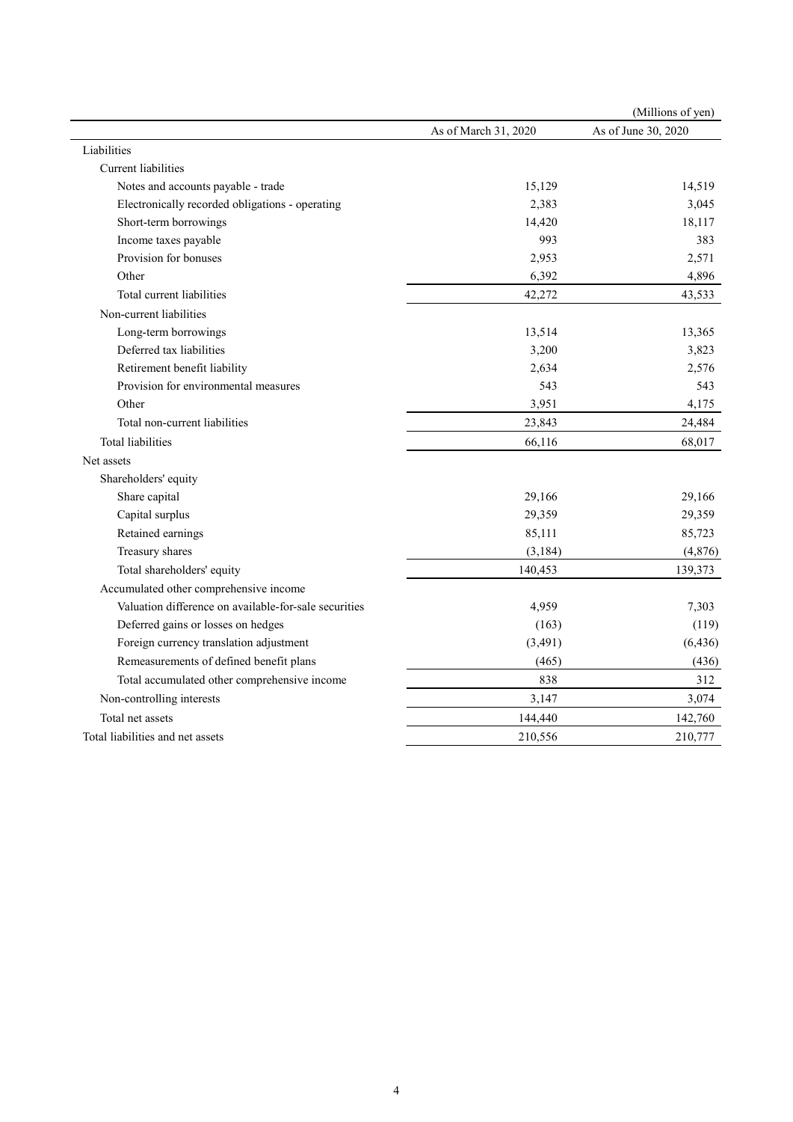|                                                       |                      | (Millions of yen)   |
|-------------------------------------------------------|----------------------|---------------------|
|                                                       | As of March 31, 2020 | As of June 30, 2020 |
| Liabilities                                           |                      |                     |
| Current liabilities                                   |                      |                     |
| Notes and accounts payable - trade                    | 15,129               | 14,519              |
| Electronically recorded obligations - operating       | 2,383                | 3,045               |
| Short-term borrowings                                 | 14,420               | 18,117              |
| Income taxes payable                                  | 993                  | 383                 |
| Provision for bonuses                                 | 2,953                | 2,571               |
| Other                                                 | 6,392                | 4,896               |
| Total current liabilities                             | 42,272               | 43,533              |
| Non-current liabilities                               |                      |                     |
| Long-term borrowings                                  | 13,514               | 13,365              |
| Deferred tax liabilities                              | 3,200                | 3,823               |
| Retirement benefit liability                          | 2,634                | 2,576               |
| Provision for environmental measures                  | 543                  | 543                 |
| Other                                                 | 3,951                | 4,175               |
| Total non-current liabilities                         | 23,843               | 24,484              |
| <b>Total liabilities</b>                              | 66,116               | 68,017              |
| Net assets                                            |                      |                     |
| Shareholders' equity                                  |                      |                     |
| Share capital                                         | 29,166               | 29,166              |
| Capital surplus                                       | 29,359               | 29,359              |
| Retained earnings                                     | 85,111               | 85,723              |
| Treasury shares                                       | (3, 184)             | (4, 876)            |
| Total shareholders' equity                            | 140,453              | 139,373             |
| Accumulated other comprehensive income                |                      |                     |
| Valuation difference on available-for-sale securities | 4,959                | 7,303               |
| Deferred gains or losses on hedges                    | (163)                | (119)               |
| Foreign currency translation adjustment               | (3, 491)             | (6, 436)            |
| Remeasurements of defined benefit plans               | (465)                | (436)               |
| Total accumulated other comprehensive income          | 838                  | 312                 |
| Non-controlling interests                             | 3,147                | 3,074               |
| Total net assets                                      | 144,440              | 142,760             |
| Total liabilities and net assets                      | 210,556              | 210,777             |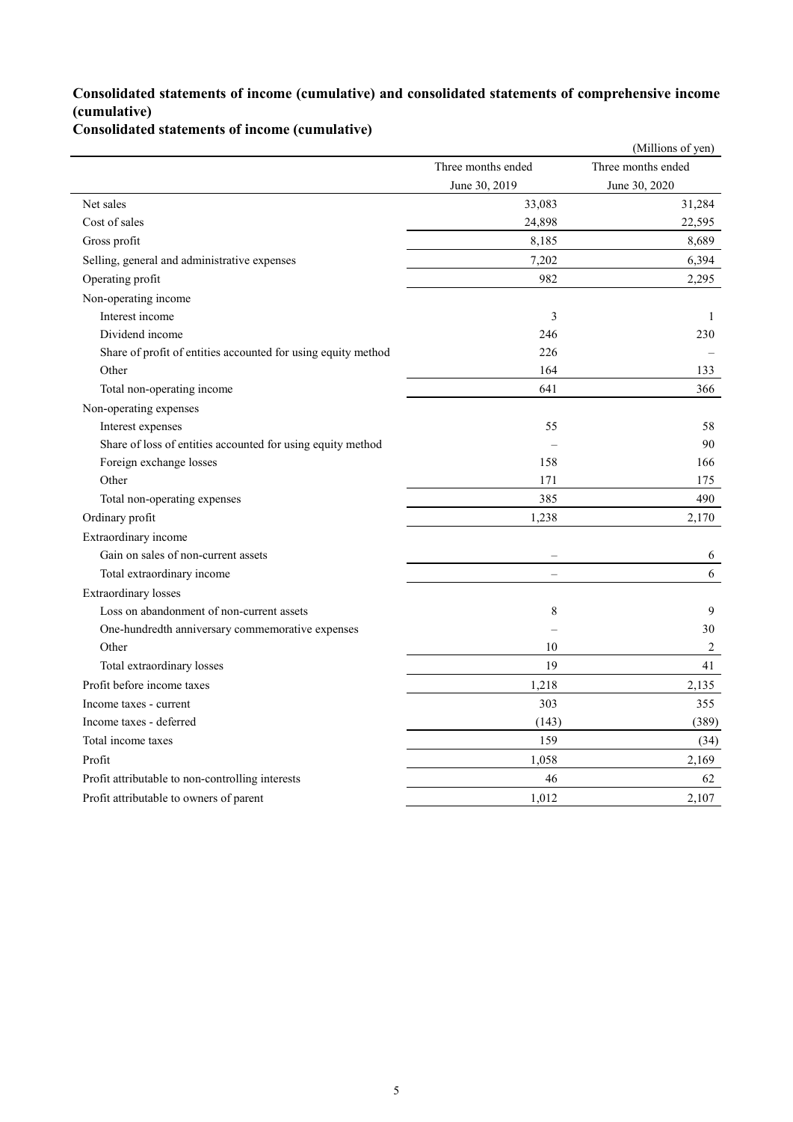### **Consolidated statements of income (cumulative) and consolidated statements of comprehensive income (cumulative)**

**Consolidated statements of income (cumulative)**

|                                                               |                    | (Millions of yen)  |
|---------------------------------------------------------------|--------------------|--------------------|
|                                                               | Three months ended | Three months ended |
|                                                               | June 30, 2019      | June 30, 2020      |
| Net sales                                                     | 33,083             | 31,284             |
| Cost of sales                                                 | 24,898             | 22,595             |
| Gross profit                                                  | 8,185              | 8,689              |
| Selling, general and administrative expenses                  | 7,202              | 6,394              |
| Operating profit                                              | 982                | 2,295              |
| Non-operating income                                          |                    |                    |
| Interest income                                               | 3                  | 1                  |
| Dividend income                                               | 246                | 230                |
| Share of profit of entities accounted for using equity method | 226                |                    |
| Other                                                         | 164                | 133                |
| Total non-operating income                                    | 641                | 366                |
| Non-operating expenses                                        |                    |                    |
| Interest expenses                                             | 55                 | 58                 |
| Share of loss of entities accounted for using equity method   |                    | 90                 |
| Foreign exchange losses                                       | 158                | 166                |
| Other                                                         | 171                | 175                |
| Total non-operating expenses                                  | 385                | 490                |
| Ordinary profit                                               | 1,238              | 2,170              |
| Extraordinary income                                          |                    |                    |
| Gain on sales of non-current assets                           |                    | 6                  |
| Total extraordinary income                                    | L.                 | 6                  |
| <b>Extraordinary</b> losses                                   |                    |                    |
| Loss on abandonment of non-current assets                     | 8                  | 9                  |
| One-hundredth anniversary commemorative expenses              |                    | 30                 |
| Other                                                         | 10                 | 2                  |
| Total extraordinary losses                                    | 19                 | 41                 |
| Profit before income taxes                                    | 1,218              | 2,135              |
| Income taxes - current                                        | 303                | 355                |
| Income taxes - deferred                                       | (143)              | (389)              |
| Total income taxes                                            | 159                | (34)               |
| Profit                                                        | 1,058              | 2,169              |
| Profit attributable to non-controlling interests              | 46                 | 62                 |
| Profit attributable to owners of parent                       | 1,012              | 2,107              |